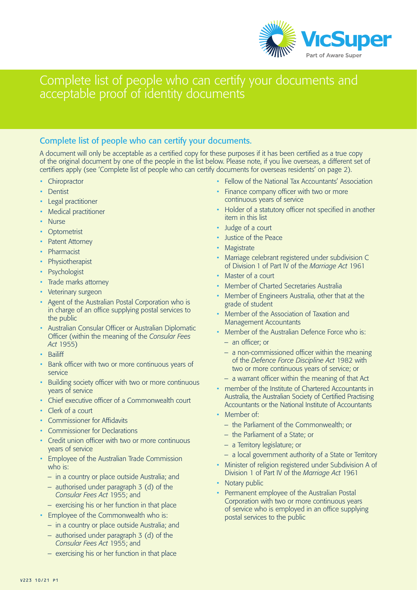

# Complete list of people who can certify your documents and acceptable proof of identity documents

## Complete list of people who can certify your documents.

A document will only be acceptable as a certified copy for these purposes if it has been certified as a true copy of the original document by one of the people in the list below. Please note, if you live overseas, a different set of certifiers apply (see 'Complete list of people who can certify documents for overseas residents' on page 2).

- Chiropractor
- Dentist
- Legal practitioner
- Medical practitioner
- **Nurse**
- **Optometrist**
- Patent Attorney
- **Pharmacist**
- **Physiotherapist**
- **Psychologist**
- Trade marks attorney
- Veterinary surgeon
- Agent of the Australian Postal Corporation who is in charge of an office supplying postal services to the public
- Australian Consular Officer or Australian Diplomatic Officer (within the meaning of the *Consular Fees Act* 1955)
- Bailiff
- Bank officer with two or more continuous years of service
- Building society officer with two or more continuous years of service
- Chief executive officer of a Commonwealth court
- Clerk of a court
- Commissioner for Affidavits
- Commissioner for Declarations
- Credit union officer with two or more continuous years of service
- Employee of the Australian Trade Commission who is:
	- in a country or place outside Australia; and
	- authorised under paragraph 3 (d) of the *Consular Fees Act* 1955; and
	- exercising his or her function in that place
- Employee of the Commonwealth who is:
	- in a country or place outside Australia; and
	- authorised under paragraph 3 (d) of the *Consular Fees Act* 1955; and
	- exercising his or her function in that place
- Fellow of the National Tax Accountants' Association
- Finance company officer with two or more continuous years of service
- Holder of a statutory officer not specified in another item in this list
- Judge of a court
- Justice of the Peace
- **Magistrate**
- Marriage celebrant registered under subdivision C of Division 1 of Part IV of the *Marriage Act* 1961
- Master of a court
- Member of Charted Secretaries Australia
- Member of Engineers Australia, other that at the grade of student
- Member of the Association of Taxation and Management Accountants
- Member of the Australian Defence Force who is: – an officer; or
	- a non-commissioned officer within the meaning of the *Defence Force Discipline Act* 1982 with two or more continuous years of service; or
	- a warrant officer within the meaning of that Act
- member of the Institute of Chartered Accountants in Australia, the Australian Society of Certified Practising Accountants or the National Institute of Accountants
- Member of:
	- the Parliament of the Commonwealth; or
	- the Parliament of a State; or
	- a Territory legislature; or
	- a local government authority of a State or Territory
- Minister of religion registered under Subdivision A of Division 1 of Part IV of the *Marriage Act* 1961
- Notary public
- Permanent employee of the Australian Postal Corporation with two or more continuous years of service who is employed in an office supplying postal services to the public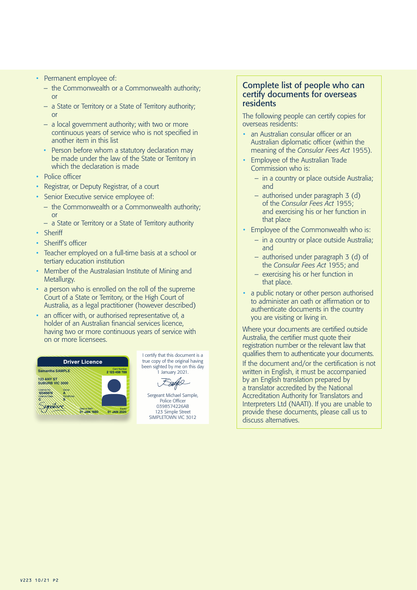- Permanent employee of:
	- the Commonwealth or a Commonwealth authority; or
	- a State or Territory or a State of Territory authority; or
	- a local government authority; with two or more continuous years of service who is not specified in another item in this list
	- Person before whom a statutory declaration may be made under the law of the State or Territory in which the declaration is made
- Police officer
- Registrar, or Deputy Registrar, of a court
- Senior Executive service employee of:
	- the Commonwealth or a Commonwealth authority; or
	- a State or Territory or a State of Territory authority
- Sheriff
- Sheriff's officer
- Teacher employed on a full-time basis at a school or **Lertiary education institution**
- Member of the Australasian Institute of Mining and Metallurgy.
- a person who is enrolled on the roll of the supreme Court of a State or Territory, or the High Court of **S** Australia, as a legal practitioner (however described)
- an officer with, or authorised representative of, a holder of an Australian financial services licence, having two or more continuous years of service with on or more licensees.



I certify that this document is a true copy of the original having been sighted by me on this day 1 January 2021.

Earge

Sergeant Michael Sample, Police Officer 0398574226AB 123 Simple Street SIMPLETOWN VIC 3012

#### Complete list of people who can certify documents for overseas residents

The following people can certify copies for overseas residents:

- an Australian consular officer or an Australian diplomatic officer (within the meaning of the *Consular Fees Act* 1955).
- Employee of the Australian Trade Commission who is:
	- in a country or place outside Australia; and
	- authorised under paragraph 3 (d) of the *Consular Fees Act* 1955; and exercising his or her function in that place
- Employee of the Commonwealth who is:
	- in a country or place outside Australia; and
	- authorised under paragraph 3 (d) of the *Consular Fees Act* 1955; and
	- exercising his or her function in that place.
- a public notary or other person authorised to administer an oath or affirmation or to authenticate documents in the country you are visiting or living in.

Where your documents are certified outside Australia, the certifier must quote their registration number or the relevant law that qualifies them to authenticate your documents.

If the document and/or the certification is not written in English, it must be accompanied by an English translation prepared by a translator accredited by the National Accreditation Authority for Translators and Interpreters Ltd (NAATI). If you are unable to provide these documents, please call us to discuss alternatives.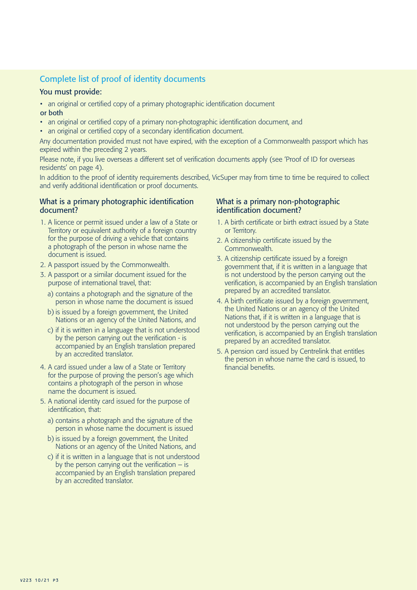## Complete list of proof of identity documents

#### You must provide:

- an original or certified copy of a primary photographic identification document or both
- an original or certified copy of a primary non-photographic identification document, and
- an original or certified copy of a secondary identification document.

Any documentation provided must not have expired, with the exception of a Commonwealth passport which has expired within the preceding 2 years.

Please note, if you live overseas a different set of verification documents apply (see 'Proof of ID for overseas residents' on page 4).

In addition to the proof of identity requirements described, VicSuper may from time to time be required to collect and verify additional identification or proof documents.

#### What is a primary photographic identification document?

- 1. A licence or permit issued under a law of a State or Territory or equivalent authority of a foreign country for the purpose of driving a vehicle that contains a photograph of the person in whose name the document is issued.
- 2. A passport issued by the Commonwealth.
- 3. A passport or a similar document issued for the purpose of international travel, that:
	- a) contains a photograph and the signature of the person in whose name the document is issued
	- b) is issued by a foreign government, the United Nations or an agency of the United Nations, and
	- c) if it is written in a language that is not understood by the person carrying out the verification - is accompanied by an English translation prepared by an accredited translator.
- 4. A card issued under a law of a State or Territory for the purpose of proving the person's age which contains a photograph of the person in whose name the document is issued.
- 5. A national identity card issued for the purpose of identification, that:
	- a) contains a photograph and the signature of the person in whose name the document is issued
	- b) is issued by a foreign government, the United Nations or an agency of the United Nations, and
	- c) if it is written in a language that is not understood by the person carrying out the verification  $-$  is accompanied by an English translation prepared by an accredited translator.

#### What is a primary non-photographic identification document?

- 1. A birth certificate or birth extract issued by a State or Territory.
- 2. A citizenship certificate issued by the Commonwealth.
- 3. A citizenship certificate issued by a foreign government that, if it is written in a language that is not understood by the person carrying out the verification, is accompanied by an English translation prepared by an accredited translator.
- 4. A birth certificate issued by a foreign government, the United Nations or an agency of the United Nations that, if it is written in a language that is not understood by the person carrying out the verification, is accompanied by an English translation prepared by an accredited translator.
- 5. A pension card issued by Centrelink that entitles the person in whose name the card is issued, to financial benefits.